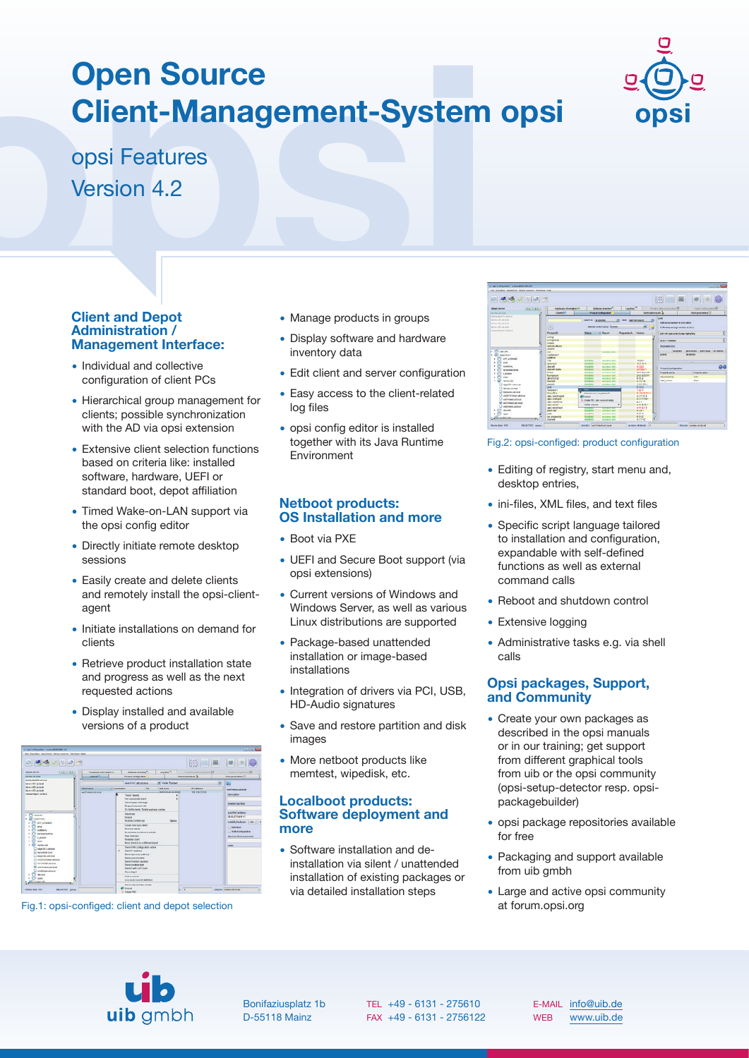# **Open Source Client-Management-System opsi**



opsi Features Version 4.2

# **Client and Depot Administration / Management Interface:**

- Individual and collective configuration of client PCs
- Hierarchical group management for clients; possible synchronization with the AD via opsi extension
- Extensive client selection functions based on criteria like: installed software, hardware, UEFI or standard boot, depot affiliation
- Timed Wake-on-LAN support via the opsi config editor
- Directly initiate remote desktop sessions
- Easily create and delete clients and remotely install the opsi-clientagent
- Initiate installations on demand for clients
- Retrieve product installation state and progress as well as the next requested actions
- Display installed and available versions of a product



Fig.1: opsi-configed: client and depot selection

- Manage products in groups
- Display software and hardware inventory data
- Edit client and server configuration
- Easy access to the client-related log files
- opsi config editor is installed together with its Java Runtime Environment

# **Netboot products: OS Installation and more**

- Boot via PXE
- UEFI and Secure Boot support (via opsi extensions)
- Current versions of Windows and Windows Server, as well as various Linux distributions are supported
- Package-based unattended installation or image-based installations
- Integration of drivers via PCI, USB, HD-Audio signatures
- Save and restore partition and disk images
- More netboot products like memtest, wipedisk, etc.

# **Localboot products: Software deployment and more**

• Software installation and deinstallation via silent / unattended installation of existing packages or via detailed installation steps



#### Fig.2: opsi-configed: product configuration

- Editing of registry, start menu and, desktop entries,
- ini-files, XML files, and text files
- Specific script language tailored to installation and configuration, expandable with self-defined functions as well as external command calls
- Reboot and shutdown control
- **Extensive logging**
- Administrative tasks e.g. via shell calls

# **Opsi packages, Support, and Community**

- Create your own packages as described in the opsi manuals or in our training; get support from different graphical tools from uib or the opsi community (opsi-setup-detector resp. opsipackagebuilder)
- opsi package repositories available for free
- Packaging and support available from uib gmbh
- Large and active opsi community at forum.opsi.org



Bonifaziusplatz 1b D-55118 Mainz

TEL +49 - 6131 - 275610 FAX +49 - 6131 - 2756122

E-MAIL [info@uib.de](mailto:info@uib.de) WEB [www.uib.de](https://uib.de)